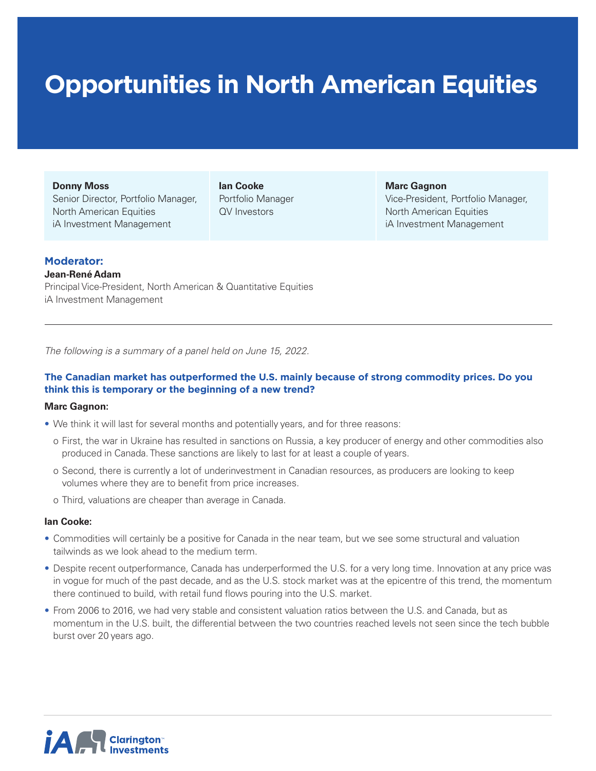# **Opportunities in North American Equities**

#### **Donny Moss**

Senior Director, Portfolio Manager, North American Equities iA Investment Management

**Ian Cooke** Portfolio Manager QV Investors

**Marc Gagnon**

Vice-President, Portfolio Manager, North American Equities iA Investment Management

## **Moderator:**

## **Jean-René Adam**

Principal Vice-President, North American & Quantitative Equities iA Investment Management

*The following is a summary of a panel held on June 15, 2022.* 

## **The Canadian market has outperformed the U.S. mainly because of strong commodity prices. Do you think this is temporary or the beginning of a new trend?**

## **Marc Gagnon:**

- We think it will last for several months and potentially years, and for three reasons:
	- o First, the war in Ukraine has resulted in sanctions on Russia, a key producer of energy and other commodities also produced in Canada. These sanctions are likely to last for at least a couple of years.
	- o Second, there is currently a lot of underinvestment in Canadian resources, as producers are looking to keep volumes where they are to benefit from price increases.
	- o Third, valuations are cheaper than average in Canada.

## **Ian Cooke:**

- Commodities will certainly be a positive for Canada in the near team, but we see some structural and valuation tailwinds as we look ahead to the medium term.
- Despite recent outperformance, Canada has underperformed the U.S. for a very long time. Innovation at any price was in vogue for much of the past decade, and as the U.S. stock market was at the epicentre of this trend, the momentum there continued to build, with retail fund flows pouring into the U.S. market.
- From 2006 to 2016, we had very stable and consistent valuation ratios between the U.S. and Canada, but as momentum in the U.S. built, the differential between the two countries reached levels not seen since the tech bubble burst over 20 years ago.

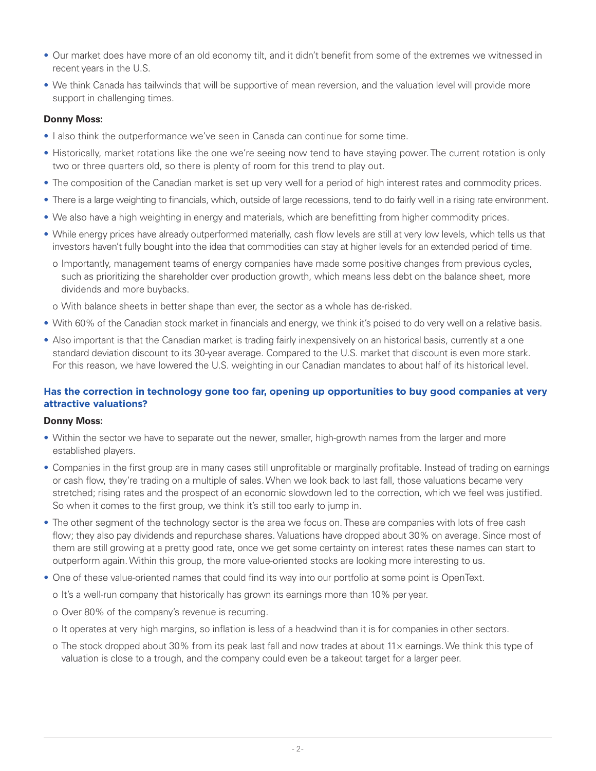- Our market does have more of an old economy tilt, and it didn't benefit from some of the extremes we witnessed in recent years in the U.S.
- We think Canada has tailwinds that will be supportive of mean reversion, and the valuation level will provide more support in challenging times.

## **Donny Moss:**

- I also think the outperformance we've seen in Canada can continue for some time.
- Historically, market rotations like the one we're seeing now tend to have staying power. The current rotation is only two or three quarters old, so there is plenty of room for this trend to play out.
- The composition of the Canadian market is set up very well for a period of high interest rates and commodity prices.
- There is a large weighting to financials, which, outside of large recessions, tend to do fairly well in a rising rate environment.
- We also have a high weighting in energy and materials, which are benefitting from higher commodity prices.
- While energy prices have already outperformed materially, cash flow levels are still at very low levels, which tells us that investors haven't fully bought into the idea that commodities can stay at higher levels for an extended period of time.
	- o Importantly, management teams of energy companies have made some positive changes from previous cycles, such as prioritizing the shareholder over production growth, which means less debt on the balance sheet, more dividends and more buybacks.
- o With balance sheets in better shape than ever, the sector as a whole has de-risked.
- With 60% of the Canadian stock market in financials and energy, we think it's poised to do very well on a relative basis.
- Also important is that the Canadian market is trading fairly inexpensively on an historical basis, currently at a one standard deviation discount to its 30-year average. Compared to the U.S. market that discount is even more stark. For this reason, we have lowered the U.S. weighting in our Canadian mandates to about half of its historical level.

## **Has the correction in technology gone too far, opening up opportunities to buy good companies at very attractive valuations?**

## **Donny Moss:**

- Within the sector we have to separate out the newer, smaller, high-growth names from the larger and more established players.
- Companies in the first group are in many cases still unprofitable or marginally profitable. Instead of trading on earnings or cash flow, they're trading on a multiple of sales. When we look back to last fall, those valuations became very stretched; rising rates and the prospect of an economic slowdown led to the correction, which we feel was justified. So when it comes to the first group, we think it's still too early to jump in.
- The other segment of the technology sector is the area we focus on. These are companies with lots of free cash flow; they also pay dividends and repurchase shares. Valuations have dropped about 30% on average. Since most of them are still growing at a pretty good rate, once we get some certainty on interest rates these names can start to outperform again. Within this group, the more value-oriented stocks are looking more interesting to us.
- One of these value-oriented names that could find its way into our portfolio at some point is OpenText.
	- o It's a well-run company that historically has grown its earnings more than 10% per year.
	- o Over 80% of the company's revenue is recurring.
	- o It operates at very high margins, so inflation is less of a headwind than it is for companies in other sectors.
	- o The stock dropped about 30% from its peak last fall and now trades at about  $11\times$  earnings. We think this type of valuation is close to a trough, and the company could even be a takeout target for a larger peer.